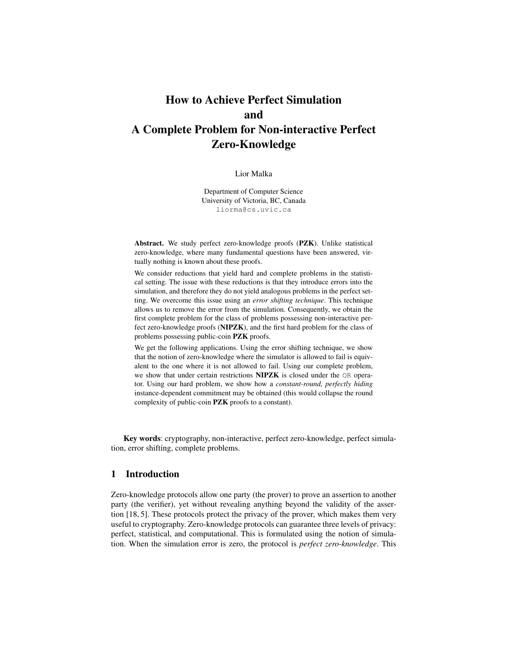# How to Achieve Perfect Simulation and A Complete Problem for Non-interactive Perfect Zero-Knowledge

#### Lior Malka

Department of Computer Science University of Victoria, BC, Canada liorma@cs.uvic.ca

Abstract. We study perfect zero-knowledge proofs (PZK). Unlike statistical zero-knowledge, where many fundamental questions have been answered, virtually nothing is known about these proofs.

We consider reductions that yield hard and complete problems in the statistical setting. The issue with these reductions is that they introduce errors into the simulation, and therefore they do not yield analogous problems in the perfect setting. We overcome this issue using an *error shifting technique*. This technique allows us to remove the error from the simulation. Consequently, we obtain the first complete problem for the class of problems possessing non-interactive perfect zero-knowledge proofs (NIPZK), and the first hard problem for the class of problems possessing public-coin PZK proofs.

We get the following applications. Using the error shifting technique, we show that the notion of zero-knowledge where the simulator is allowed to fail is equivalent to the one where it is not allowed to fail. Using our complete problem, we show that under certain restrictions NIPZK is closed under the OR operator. Using our hard problem, we show how a *constant-round, perfectly hiding* instance-dependent commitment may be obtained (this would collapse the round complexity of public-coin PZK proofs to a constant).

Key words: cryptography, non-interactive, perfect zero-knowledge, perfect simulation, error shifting, complete problems.

# 1 Introduction

Zero-knowledge protocols allow one party (the prover) to prove an assertion to another party (the verifier), yet without revealing anything beyond the validity of the assertion [18, 5]. These protocols protect the privacy of the prover, which makes them very useful to cryptography. Zero-knowledge protocols can guarantee three levels of privacy: perfect, statistical, and computational. This is formulated using the notion of simulation. When the simulation error is zero, the protocol is *perfect zero-knowledge*. This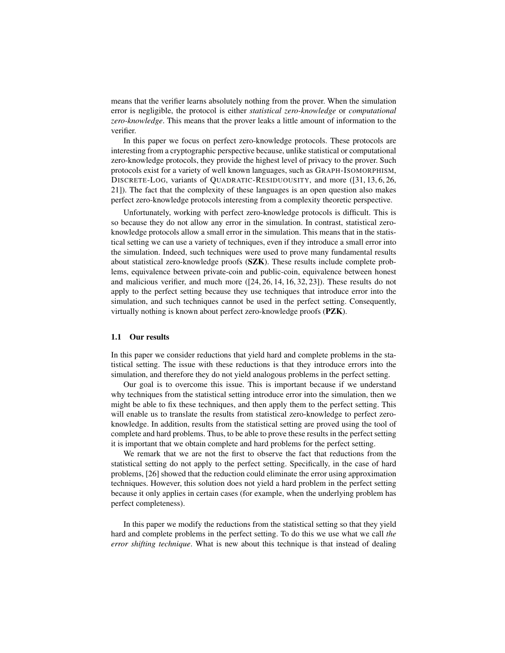means that the verifier learns absolutely nothing from the prover. When the simulation error is negligible, the protocol is either *statistical zero-knowledge* or *computational zero-knowledge*. This means that the prover leaks a little amount of information to the verifier.

In this paper we focus on perfect zero-knowledge protocols. These protocols are interesting from a cryptographic perspective because, unlike statistical or computational zero-knowledge protocols, they provide the highest level of privacy to the prover. Such protocols exist for a variety of well known languages, such as GRAPH-ISOMORPHISM, DISCRETE-LOG, variants of QUADRATIC-RESIDUOUSITY, and more ([31, 13, 6, 26, 21]). The fact that the complexity of these languages is an open question also makes perfect zero-knowledge protocols interesting from a complexity theoretic perspective.

Unfortunately, working with perfect zero-knowledge protocols is difficult. This is so because they do not allow any error in the simulation. In contrast, statistical zeroknowledge protocols allow a small error in the simulation. This means that in the statistical setting we can use a variety of techniques, even if they introduce a small error into the simulation. Indeed, such techniques were used to prove many fundamental results about statistical zero-knowledge proofs (SZK). These results include complete problems, equivalence between private-coin and public-coin, equivalence between honest and malicious verifier, and much more ([24, 26, 14, 16, 32, 23]). These results do not apply to the perfect setting because they use techniques that introduce error into the simulation, and such techniques cannot be used in the perfect setting. Consequently, virtually nothing is known about perfect zero-knowledge proofs (PZK).

#### 1.1 Our results

In this paper we consider reductions that yield hard and complete problems in the statistical setting. The issue with these reductions is that they introduce errors into the simulation, and therefore they do not yield analogous problems in the perfect setting.

Our goal is to overcome this issue. This is important because if we understand why techniques from the statistical setting introduce error into the simulation, then we might be able to fix these techniques, and then apply them to the perfect setting. This will enable us to translate the results from statistical zero-knowledge to perfect zeroknowledge. In addition, results from the statistical setting are proved using the tool of complete and hard problems. Thus, to be able to prove these results in the perfect setting it is important that we obtain complete and hard problems for the perfect setting.

We remark that we are not the first to observe the fact that reductions from the statistical setting do not apply to the perfect setting. Specifically, in the case of hard problems, [26] showed that the reduction could eliminate the error using approximation techniques. However, this solution does not yield a hard problem in the perfect setting because it only applies in certain cases (for example, when the underlying problem has perfect completeness).

In this paper we modify the reductions from the statistical setting so that they yield hard and complete problems in the perfect setting. To do this we use what we call *the error shifting technique*. What is new about this technique is that instead of dealing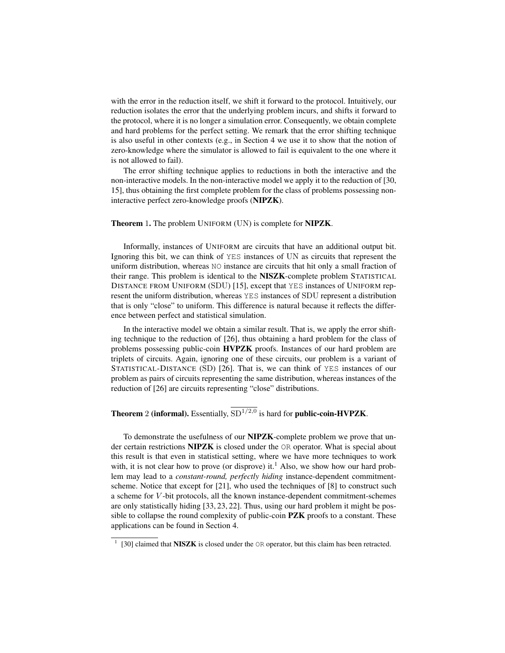with the error in the reduction itself, we shift it forward to the protocol. Intuitively, our reduction isolates the error that the underlying problem incurs, and shifts it forward to the protocol, where it is no longer a simulation error. Consequently, we obtain complete and hard problems for the perfect setting. We remark that the error shifting technique is also useful in other contexts (e.g., in Section 4 we use it to show that the notion of zero-knowledge where the simulator is allowed to fail is equivalent to the one where it is not allowed to fail).

The error shifting technique applies to reductions in both the interactive and the non-interactive models. In the non-interactive model we apply it to the reduction of [30, 15], thus obtaining the first complete problem for the class of problems possessing noninteractive perfect zero-knowledge proofs (NIPZK).

#### Theorem 1. The problem UNIFORM (UN) is complete for NIPZK.

Informally, instances of UNIFORM are circuits that have an additional output bit. Ignoring this bit, we can think of YES instances of UN as circuits that represent the uniform distribution, whereas NO instance are circuits that hit only a small fraction of their range. This problem is identical to the NISZK-complete problem STATISTICAL DISTANCE FROM UNIFORM (SDU) [15], except that YES instances of UNIFORM represent the uniform distribution, whereas YES instances of SDU represent a distribution that is only "close" to uniform. This difference is natural because it reflects the difference between perfect and statistical simulation.

In the interactive model we obtain a similar result. That is, we apply the error shifting technique to the reduction of [26], thus obtaining a hard problem for the class of problems possessing public-coin HVPZK proofs. Instances of our hard problem are triplets of circuits. Again, ignoring one of these circuits, our problem is a variant of STATISTICAL-DISTANCE (SD) [26]. That is, we can think of YES instances of our problem as pairs of circuits representing the same distribution, whereas instances of the reduction of [26] are circuits representing "close" distributions.

# **Theorem** 2 (**informal**). Essentially,  $SD^{1/2,0}$  is hard for **public-coin-HVPZK**.

To demonstrate the usefulness of our NIPZK-complete problem we prove that under certain restrictions NIPZK is closed under the OR operator. What is special about this result is that even in statistical setting, where we have more techniques to work with, it is not clear how to prove (or disprove) it.<sup>1</sup> Also, we show how our hard problem may lead to a *constant-round, perfectly hiding* instance-dependent commitmentscheme. Notice that except for [21], who used the techniques of [8] to construct such a scheme for V -bit protocols, all the known instance-dependent commitment-schemes are only statistically hiding [33, 23, 22]. Thus, using our hard problem it might be possible to collapse the round complexity of public-coin **PZK** proofs to a constant. These applications can be found in Section 4.

 $1 \quad [30]$  claimed that NISZK is closed under the OR operator, but this claim has been retracted.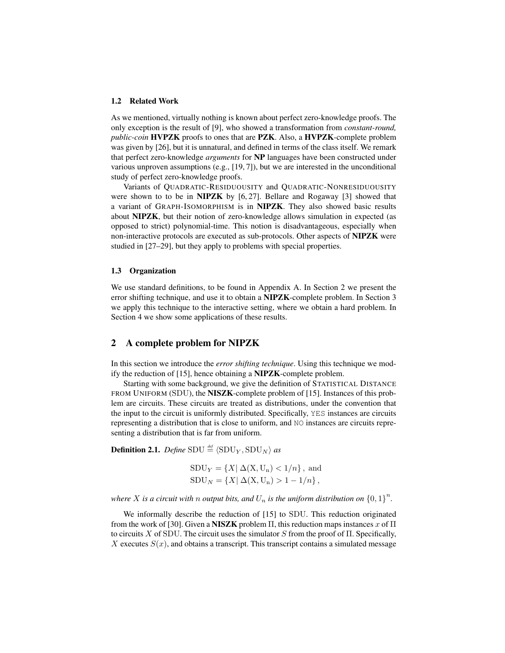#### 1.2 Related Work

As we mentioned, virtually nothing is known about perfect zero-knowledge proofs. The only exception is the result of [9], who showed a transformation from *constant-round, public-coin* HVPZK proofs to ones that are PZK. Also, a HVPZK-complete problem was given by [26], but it is unnatural, and defined in terms of the class itself. We remark that perfect zero-knowledge *arguments* for NP languages have been constructed under various unproven assumptions (e.g., [19, 7]), but we are interested in the unconditional study of perfect zero-knowledge proofs.

Variants of QUADRATIC-RESIDUOUSITY and QUADRATIC-NONRESIDUOUSITY were shown to to be in NIPZK by [6, 27]. Bellare and Rogaway [3] showed that a variant of GRAPH-ISOMORPHISM is in NIPZK. They also showed basic results about NIPZK, but their notion of zero-knowledge allows simulation in expected (as opposed to strict) polynomial-time. This notion is disadvantageous, especially when non-interactive protocols are executed as sub-protocols. Other aspects of NIPZK were studied in [27–29], but they apply to problems with special properties.

#### 1.3 Organization

We use standard definitions, to be found in Appendix A. In Section 2 we present the error shifting technique, and use it to obtain a NIPZK-complete problem. In Section 3 we apply this technique to the interactive setting, where we obtain a hard problem. In Section 4 we show some applications of these results.

## 2 A complete problem for NIPZK

In this section we introduce the *error shifting technique*. Using this technique we modify the reduction of [15], hence obtaining a NIPZK-complete problem.

Starting with some background, we give the definition of STATISTICAL DISTANCE FROM UNIFORM (SDU), the NISZK-complete problem of [15]. Instances of this problem are circuits. These circuits are treated as distributions, under the convention that the input to the circuit is uniformly distributed. Specifically, YES instances are circuits representing a distribution that is close to uniform, and NO instances are circuits representing a distribution that is far from uniform.

**Definition 2.1.** *Define*  $SDU \stackrel{\text{def}}{=} \langle SDU_Y, SDU_N \rangle$  *as* 

$$
SDU_Y = \{ X \mid \Delta(X, U_n) < 1/n \}, \text{ and}
$$

$$
SDU_N = \{ X \mid \Delta(X, U_n) > 1 - 1/n \},
$$

where X is a circuit with  $n$  output bits, and  $U_n$  is the uniform distribution on  $\{0,1\}^n$ .

We informally describe the reduction of [15] to SDU. This reduction originated from the work of [30]. Given a **NISZK** problem  $\Pi$ , this reduction maps instances x of  $\Pi$ to circuits X of SDU. The circuit uses the simulator  $S$  from the proof of  $\Pi$ . Specifically, X executes  $S(x)$ , and obtains a transcript. This transcript contains a simulated message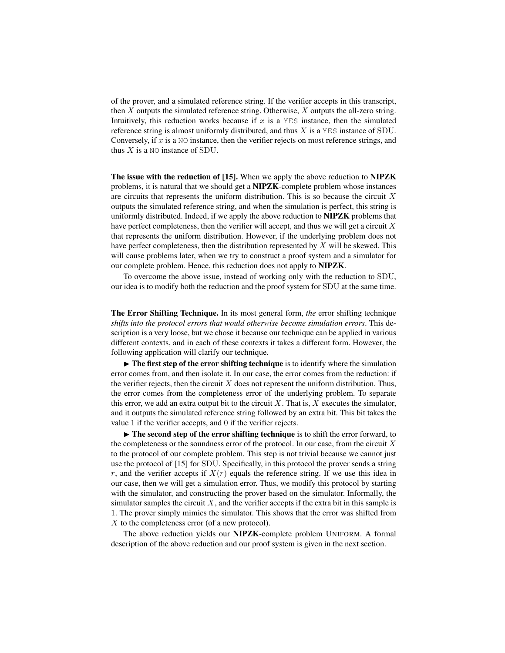of the prover, and a simulated reference string. If the verifier accepts in this transcript, then  $X$  outputs the simulated reference string. Otherwise,  $X$  outputs the all-zero string. Intuitively, this reduction works because if  $x$  is a YES instance, then the simulated reference string is almost uniformly distributed, and thus  $X$  is a YES instance of SDU. Conversely, if  $x$  is a NO instance, then the verifier rejects on most reference strings, and thus  $X$  is a NO instance of SDU.

The issue with the reduction of [15]. When we apply the above reduction to NIPZK problems, it is natural that we should get a NIPZK-complete problem whose instances are circuits that represents the uniform distribution. This is so because the circuit  $X$ outputs the simulated reference string, and when the simulation is perfect, this string is uniformly distributed. Indeed, if we apply the above reduction to NIPZK problems that have perfect completeness, then the verifier will accept, and thus we will get a circuit  $X$ that represents the uniform distribution. However, if the underlying problem does not have perfect completeness, then the distribution represented by  $X$  will be skewed. This will cause problems later, when we try to construct a proof system and a simulator for our complete problem. Hence, this reduction does not apply to NIPZK.

To overcome the above issue, instead of working only with the reduction to SDU, our idea is to modify both the reduction and the proof system for SDU at the same time.

The Error Shifting Technique. In its most general form, *the* error shifting technique *shifts into the protocol errors that would otherwise become simulation errors*. This description is a very loose, but we chose it because our technique can be applied in various different contexts, and in each of these contexts it takes a different form. However, the following application will clarify our technique.

 $\triangleright$  The first step of the error shifting technique is to identify where the simulation error comes from, and then isolate it. In our case, the error comes from the reduction: if the verifier rejects, then the circuit  $X$  does not represent the uniform distribution. Thus, the error comes from the completeness error of the underlying problem. To separate this error, we add an extra output bit to the circuit  $X$ . That is,  $X$  executes the simulator, and it outputs the simulated reference string followed by an extra bit. This bit takes the value 1 if the verifier accepts, and 0 if the verifier rejects.

 $\triangleright$  The second step of the error shifting technique is to shift the error forward, to the completeness or the soundness error of the protocol. In our case, from the circuit  $X$ to the protocol of our complete problem. This step is not trivial because we cannot just use the protocol of [15] for SDU. Specifically, in this protocol the prover sends a string r, and the verifier accepts if  $X(r)$  equals the reference string. If we use this idea in our case, then we will get a simulation error. Thus, we modify this protocol by starting with the simulator, and constructing the prover based on the simulator. Informally, the simulator samples the circuit  $X$ , and the verifier accepts if the extra bit in this sample is 1. The prover simply mimics the simulator. This shows that the error was shifted from X to the completeness error (of a new protocol).

The above reduction yields our NIPZK-complete problem UNIFORM. A formal description of the above reduction and our proof system is given in the next section.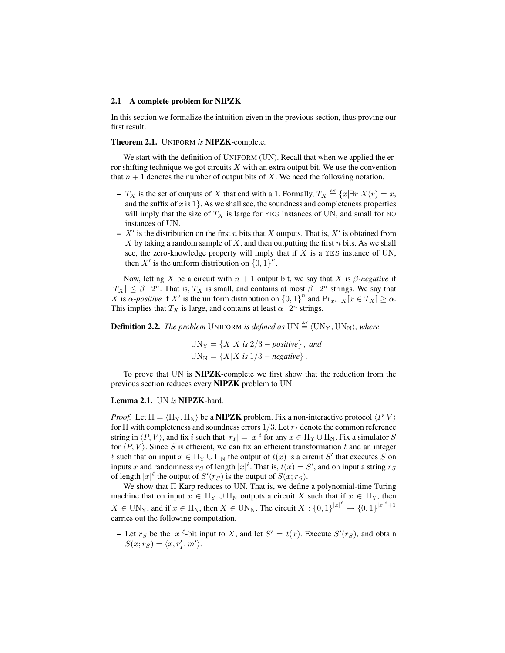#### 2.1 A complete problem for NIPZK

In this section we formalize the intuition given in the previous section, thus proving our first result.

### Theorem 2.1. UNIFORM *is* NIPZK-complete*.*

We start with the definition of UNIFORM (UN). Recall that when we applied the error shifting technique we got circuits  $X$  with an extra output bit. We use the convention that  $n + 1$  denotes the number of output bits of X. We need the following notation.

- $-T_X$  is the set of outputs of X that end with a 1. Formally,  $T_X \stackrel{\text{def}}{=} \{x | \exists r X(r) = x, \}$ and the suffix of  $x$  is  $1$ . As we shall see, the soundness and completeness properties will imply that the size of  $T_X$  is large for YES instances of UN, and small for NO instances of UN.
- $-$  X' is the distribution on the first n bits that X outputs. That is, X' is obtained from X by taking a random sample of X, and then outputting the first  $n$  bits. As we shall see, the zero-knowledge property will imply that if  $X$  is a YES instance of UN, then X' is the uniform distribution on  ${0, 1}^n$ .

Now, letting X be a circuit with  $n + 1$  output bit, we say that X is  $\beta$ -negative if  $|T_X| \leq \beta \cdot 2^n$ . That is,  $T_X$  is small, and contains at most  $\beta \cdot 2^n$  strings. We say that X is  $\alpha$ -positive if X' is the uniform distribution on  ${0, 1}^n$  and  $Pr_{x \leftarrow X}[x \in T_X] \ge \alpha$ . This implies that  $T_X$  is large, and contains at least  $\alpha \cdot 2^n$  strings.

**Definition 2.2.** *The problem* UNIFORM *is defined as*  $UN \stackrel{\text{def}}{=} \langle UN_Y, UN_N \rangle$ *, where* 

$$
UN_Y = \{X | X \text{ is } 2/3 - positive\}, \text{ and}
$$
  

$$
UN_N = \{X | X \text{ is } 1/3 - negative\}.
$$

To prove that UN is NIPZK-complete we first show that the reduction from the previous section reduces every NIPZK problem to UN.

#### Lemma 2.1. UN *is* NIPZK-hard*.*

*Proof.* Let  $\Pi = \langle \Pi_Y, \Pi_N \rangle$  be a **NIPZK** problem. Fix a non-interactive protocol  $\langle P, V \rangle$ for  $\Pi$  with completeness and soundness errors  $1/3$ . Let  $r_I$  denote the common reference string in  $\langle P, V \rangle$ , and fix i such that  $|r_I | = |x|^i$  for any  $x \in \Pi_Y \cup \Pi_N$ . Fix a simulator S for  $\langle P, V \rangle$ . Since S is efficient, we can fix an efficient transformation t and an integer  $\ell$  such that on input  $x \in \Pi_Y \cup \Pi_N$  the output of  $t(x)$  is a circuit  $S'$  that executes S on inputs x and randomness  $r_S$  of length  $|x|^{\ell}$ . That is,  $t(x) = S'$ , and on input a string  $r_S$ of length  $|x|^\ell$  the output of  $S'(r_S)$  is the output of  $S(x; r_S)$ .

We show that Π Karp reduces to UN. That is, we define a polynomial-time Turing machine that on input  $x \in \Pi_Y \cup \Pi_N$  outputs a circuit X such that if  $x \in \Pi_Y$ , then  $X \in \text{UN}_Y$ , and if  $x \in \Pi_N$ , then  $X \in \text{UN}_N$ . The circuit  $X: \{0,1\}^{|x|^{\ell}} \to \{0,1\}^{|x|^{\ell}+1}$ carries out the following computation.

- Let  $r_S$  be the  $|x|^{\ell}$ -bit input to X, and let  $S' = t(x)$ . Execute  $S'(r_S)$ , and obtain  $S(x; r_S) = \langle x, r_I', m' \rangle.$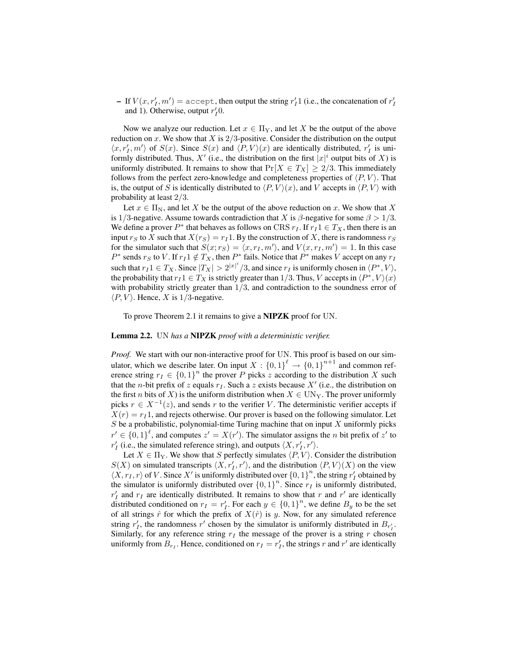- If  $V(x, r'_1, m') =$  accept, then output the string  $r'_1$  (i.e., the concatenation of  $r'_1$ and 1). Otherwise, output  $r'_I$ 0.

Now we analyze our reduction. Let  $x \in \Pi_Y$ , and let X be the output of the above reduction on x. We show that X is  $2/3$ -positive. Consider the distribution on the output  $\langle x, r'_I, m' \rangle$  of  $S(x)$ . Since  $S(x)$  and  $\langle P, V \rangle(x)$  are identically distributed,  $r'_I$  is uniformly distributed. Thus, X' (i.e., the distribution on the first  $|x|^i$  output bits of X) is uniformly distributed. It remains to show that  $Pr[X \in T_X] \geq 2/3$ . This immediately follows from the perfect zero-knowledge and completeness properties of  $\langle P, V \rangle$ . That is, the output of S is identically distributed to  $\langle P, V \rangle(x)$ , and V accepts in  $\langle P, V \rangle$  with probability at least 2/3.

Let  $x \in \Pi_N$ , and let X be the output of the above reduction on x. We show that X is 1/3-negative. Assume towards contradiction that X is  $\beta$ -negative for some  $\beta > 1/3$ . We define a prover  $P^*$  that behaves as follows on CRS  $r_I$ . If  $r_I 1 \in T_X$ , then there is an input  $r_S$  to X such that  $X(r_S) = r_I 1$ . By the construction of X, there is randomness  $r_S$ for the simulator such that  $S(x; r_S) = \langle x, r_I, m' \rangle$ , and  $V(x, r_I, m') = 1$ . In this case  $P^*$  sends  $r_S$  to V. If  $r_I 1 \notin T_X$ , then  $P^*$  fails. Notice that  $P^*$  makes V accept on any  $r_I$ such that  $r_I 1 \in T_X$ . Since  $|T_X| > 2^{|x|^i}/3$ , and since  $r_I$  is uniformly chosen in  $\langle P^*, V \rangle$ , the probability that  $r_1 1 \in T_X$  is strictly greater than 1/3. Thus, V accepts in  $\langle P^*, V \rangle (x)$ with probability strictly greater than  $1/3$ , and contradiction to the soundness error of  $\langle P, V \rangle$ . Hence, X is 1/3-negative.

To prove Theorem 2.1 it remains to give a NIPZK proof for UN.

#### Lemma 2.2. UN *has a* NIPZK *proof with a deterministic verifier.*

*Proof.* We start with our non-interactive proof for UN. This proof is based on our simulator, which we describe later. On input  $X: \{0,1\}^{\ell} \to \{0,1\}^{n+1}$  and common reference string  $r_I \in \{0,1\}^n$  the prover P picks z according to the distribution X such that the *n*-bit prefix of z equals  $r_I$ . Such a z exists because  $X'$  (i.e., the distribution on the first n bits of X) is the uniform distribution when  $X \in UN_Y$ . The prover uniformly picks  $r \in X^{-1}(z)$ , and sends r to the verifier V. The deterministic verifier accepts if  $X(r) = r<sub>I</sub>1$ , and rejects otherwise. Our prover is based on the following simulator. Let  $S$  be a probabilistic, polynomial-time Turing machine that on input  $X$  uniformly picks  $r' \in \{0,1\}^{\ell}$ , and computes  $z' = X(r')$ . The simulator assigns the *n* bit prefix of  $z'$  to  $r'_I$  (i.e., the simulated reference string), and outputs  $\langle X, r'_I, r' \rangle$ .

Let  $X \in \Pi_Y$ . We show that S perfectly simulates  $\langle P, V \rangle$ . Consider the distribution  $S(X)$  on simulated transcripts  $\langle X, r'_I, r' \rangle$ , and the distribution  $\langle P, V \rangle(X)$  on the view  $\langle X, r_I, r \rangle$  of V. Since X' is uniformly distributed over  $\{0, 1\}^n$ , the string  $r_I'$  obtained by the simulator is uniformly distributed over  ${0, 1}^n$ . Since  $r_I$  is uniformly distributed,  $r'_I$  and  $r_I$  are identically distributed. It remains to show that r and r' are identically distributed conditioned on  $r_I = r_I'$ . For each  $y \in \{0,1\}^n$ , we define  $B_y$  to be the set of all strings  $\hat{r}$  for which the prefix of  $X(\hat{r})$  is y. Now, for any simulated reference string  $r'_I$ , the randomness r' chosen by the simulator is uniformly distributed in  $B_{r'_I}$ . Similarly, for any reference string  $r_I$  the message of the prover is a string r chosen uniformly from  $B_{r_I}$ . Hence, conditioned on  $r_I = r_I'$ , the strings r and r' are identically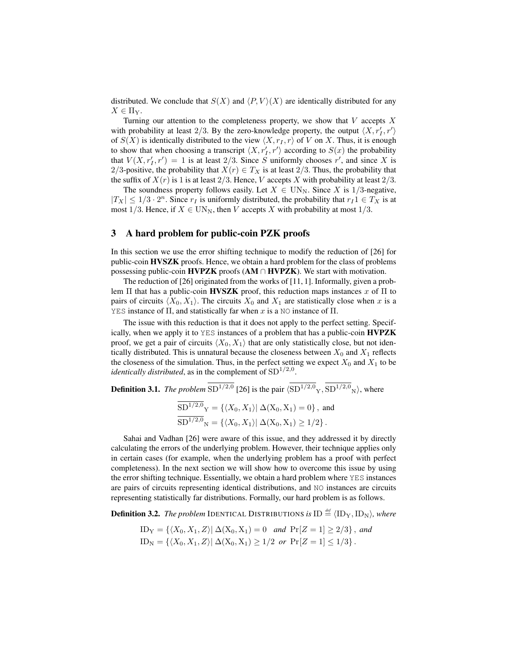distributed. We conclude that  $S(X)$  and  $\langle P, V \rangle(X)$  are identically distributed for any  $X \in \Pi_Y$ .

Turning our attention to the completeness property, we show that  $V$  accepts  $X$ with probability at least 2/3. By the zero-knowledge property, the output  $\langle X, r'_I, r' \rangle$ of  $S(X)$  is identically distributed to the view  $\langle X, r_I, r \rangle$  of V on X. Thus, it is enough to show that when choosing a transcript  $\langle X, r'_I, r' \rangle$  according to  $S(x)$  the probability that  $V(X, r'_1, r') = 1$  is at least 2/3. Since S uniformly chooses r', and since X is 2/3-positive, the probability that  $X(r) \in T_X$  is at least 2/3. Thus, the probability that the suffix of  $X(r)$  is 1 is at least 2/3. Hence, V accepts X with probability at least 2/3.

The soundness property follows easily. Let  $X \in UN_N$ . Since X is 1/3-negative,  $|T_X| \leq 1/3 \cdot 2^n$ . Since  $r_I$  is uniformly distributed, the probability that  $r_I 1 \in T_X$  is at most 1/3. Hence, if  $X \in UN_N$ , then V accepts X with probability at most 1/3.

# 3 A hard problem for public-coin PZK proofs

In this section we use the error shifting technique to modify the reduction of [26] for public-coin HVSZK proofs. Hence, we obtain a hard problem for the class of problems possessing public-coin HVPZK proofs (AM ∩ HVPZK). We start with motivation.

The reduction of [26] originated from the works of [11, 1]. Informally, given a problem  $\Pi$  that has a public-coin HVSZK proof, this reduction maps instances x of  $\Pi$  to pairs of circuits  $\langle X_0, X_1 \rangle$ . The circuits  $X_0$  and  $X_1$  are statistically close when x is a YES instance of Π, and statistically far when x is a NO instance of Π.

The issue with this reduction is that it does not apply to the perfect setting. Specifically, when we apply it to  $YES$  instances of a problem that has a public-coin  $HVPZK$ proof, we get a pair of circuits  $\langle X_0, X_1 \rangle$  that are only statistically close, but not identically distributed. This is unnatural because the closeness between  $X_0$  and  $X_1$  reflects the closeness of the simulation. Thus, in the perfect setting we expect  $X_0$  and  $X_1$  to be *identically distributed*, as in the complement of  $SD^{1/2,0}$ .

**Definition 3.1.** The problem  $SD^{1/2,0}$  [26] is the pair  $\langle SD^{1/2,0}y, SD^{1/2,0}y \rangle$ , where

$$
\frac{\overline{SD^{1/2,0}}_Y}{SD^{1/2,0}}_Y = \{ \langle X_0, X_1 \rangle | \Delta(X_0, X_1) = 0 \}, \text{ and}
$$
  

$$
\frac{\overline{SD^{1/2,0}}_Y}{SD^{1/2,0}}_Y = \{ \langle X_0, X_1 \rangle | \Delta(X_0, X_1) \ge 1/2 \}.
$$

Sahai and Vadhan [26] were aware of this issue, and they addressed it by directly calculating the errors of the underlying problem. However, their technique applies only in certain cases (for example, when the underlying problem has a proof with perfect completeness). In the next section we will show how to overcome this issue by using the error shifting technique. Essentially, we obtain a hard problem where YES instances are pairs of circuits representing identical distributions, and NO instances are circuits representing statistically far distributions. Formally, our hard problem is as follows.

**Definition 3.2.** *The problem* IDENTICAL DISTRIBUTIONS *is* ID  $\stackrel{\text{def}}{=} \langle ID_Y, ID_N \rangle$ *, where* 

$$
ID_Y = \{ \langle X_0, X_1, Z \rangle | \Delta(X_0, X_1) = 0 \text{ and } Pr[Z = 1] \ge 2/3 \}, \text{ and}
$$
  

$$
ID_N = \{ \langle X_0, X_1, Z \rangle | \Delta(X_0, X_1) \ge 1/2 \text{ or } Pr[Z = 1] \le 1/3 \}.
$$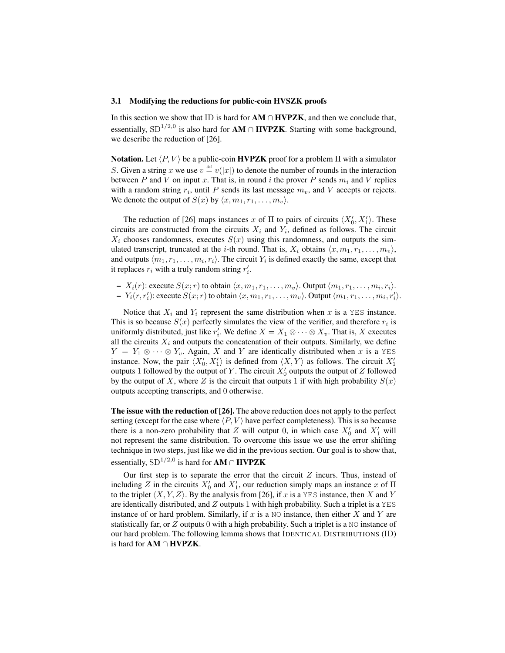#### 3.1 Modifying the reductions for public-coin HVSZK proofs

In this section we show that ID is hard for  $AM \cap HVPZK$ , and then we conclude that, essentially,  $SD^{1/2,0}$  is also hard for **AM** ∩ **HVPZK**. Starting with some background, we describe the reduction of [26].

Notation. Let  $\langle P, V \rangle$  be a public-coin HVPZK proof for a problem  $\Pi$  with a simulator S. Given a string x we use  $v \stackrel{\text{def}}{=} v(|x|)$  to denote the number of rounds in the interaction between P and V on input x. That is, in round i the prover P sends  $m_i$  and V replies with a random string  $r_i$ , until P sends its last message  $m_v$ , and V accepts or rejects. We denote the output of  $S(x)$  by  $\langle x, m_1, r_1, \ldots, m_v \rangle$ .

The reduction of [26] maps instances x of  $\Pi$  to pairs of circuits  $\langle X'_0, X'_1 \rangle$ . These circuits are constructed from the circuits  $X_i$  and  $Y_i$ , defined as follows. The circuit  $X_i$  chooses randomness, executes  $S(x)$  using this randomness, and outputs the simulated transcript, truncated at the *i*-th round. That is,  $X_i$  obtains  $\langle x, m_1, r_1, \ldots, m_v \rangle$ , and outputs  $\langle m_1, r_1, \ldots, m_i, r_i \rangle$ . The circuit  $Y_i$  is defined exactly the same, except that it replaces  $r_i$  with a truly random string  $r'_i$ .

- $X_i(r)$ : execute  $S(x; r)$  to obtain  $\langle x, m_1, r_1, \ldots, m_v \rangle$ . Output  $\langle m_1, r_1, \ldots, m_i, r_i \rangle$ .
- $-Y_i(r, r'_i)$ : execute  $S(x; r)$  to obtain  $\langle x, m_1, r_1, \ldots, m_v \rangle$ . Output  $\langle m_1, r_1, \ldots, m_i, r'_i \rangle$ .

Notice that  $X_i$  and  $Y_i$  represent the same distribution when x is a YES instance. This is so because  $S(x)$  perfectly simulates the view of the verifier, and therefore  $r_i$  is uniformly distributed, just like  $r'_i$ . We define  $X = X_1 \otimes \cdots \otimes X_v$ . That is, X executes all the circuits  $X_i$  and outputs the concatenation of their outputs. Similarly, we define  $Y = Y_1 \otimes \cdots \otimes Y_v$ . Again, X and Y are identically distributed when x is a YES instance. Now, the pair  $\langle X'_0, X'_1 \rangle$  is defined from  $\langle X, Y \rangle$  as follows. The circuit  $X'_1$ outputs 1 followed by the output of Y. The circuit  $X'_0$  outputs the output of Z followed by the output of X, where Z is the circuit that outputs 1 if with high probability  $S(x)$ outputs accepting transcripts, and 0 otherwise.

The issue with the reduction of [26]. The above reduction does not apply to the perfect setting (except for the case where  $\langle P, V \rangle$  have perfect completeness). This is so because there is a non-zero probability that Z will output 0, in which case  $X'_0$  and  $X'_1$  will not represent the same distribution. To overcome this issue we use the error shifting technique in two steps, just like we did in the previous section. Our goal is to show that, essentially,  $SD^{1/2,0}$  is hard for  $AM \cap HVPZK$ 

Our first step is to separate the error that the circuit  $Z$  incurs. Thus, instead of including Z in the circuits  $X'_0$  and  $X'_1$ , our reduction simply maps an instance x of  $\Pi$ to the triplet  $\langle X, Y, Z \rangle$ . By the analysis from [26], if x is a YES instance, then X and Y are identically distributed, and  $Z$  outputs 1 with high probability. Such a triplet is a YES instance of or hard problem. Similarly, if  $x$  is a NO instance, then either  $X$  and  $Y$  are statistically far, or Z outputs 0 with a high probability. Such a triplet is a NO instance of our hard problem. The following lemma shows that IDENTICAL DISTRIBUTIONS (ID) is hard for AM ∩ HVPZK.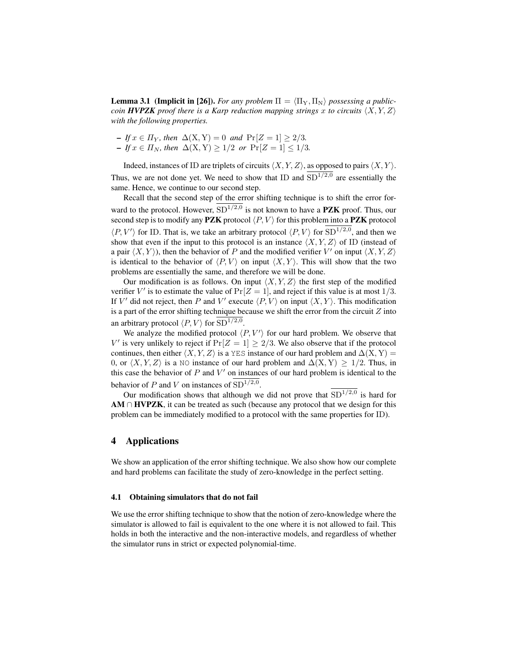**Lemma 3.1 (Implicit in [26]).** *For any problem*  $\Pi = \langle \Pi_Y, \Pi_N \rangle$  *possessing a publiccoin HVPZK* proof there is a Karp reduction mapping strings x to circuits  $\langle X, Y, Z \rangle$ *with the following properties.*

- $-If x ∈ II_Y$ *, then*  $\Delta(X, Y) = 0$  *and*  $Pr[Z = 1] ≥ 2/3$ *.*
- $-Ifx \in \Pi_N$ , then  $\Delta(X, Y) \geq 1/2$  or  $\Pr[Z = 1] \leq 1/3$ .

Indeed, instances of ID are triplets of circuits  $\langle X, Y, Z \rangle$ , as opposed to pairs  $\langle X, Y \rangle$ . Thus, we are not done yet. We need to show that ID and  $SD^{1/2,0}$  are essentially the same. Hence, we continue to our second step.

Recall that the second step of the error shifting technique is to shift the error forward to the protocol. However,  $SD^{1/2,0}$  is not known to have a **PZK** proof. Thus, our second step is to modify any **PZK** protocol  $\langle P, V \rangle$  for this problem into a **PZK** protocol  $\langle P, V' \rangle$  for ID. That is, we take an arbitrary protocol  $\langle P, V \rangle$  for  $SD^{1/2,0}$ , and then we show that even if the input to this protocol is an instance  $\langle X, Y, Z \rangle$  of ID (instead of a pair  $\langle X, Y \rangle$ ), then the behavior of P and the modified verifier V' on input  $\langle X, Y, Z \rangle$ is identical to the behavior of  $\langle P, V \rangle$  on input  $\langle X, Y \rangle$ . This will show that the two problems are essentially the same, and therefore we will be done.

Our modification is as follows. On input  $\langle X, Y, Z \rangle$  the first step of the modified verifier V' is to estimate the value of  $Pr[Z = 1]$ , and reject if this value is at most  $1/3$ . If V' did not reject, then P and V' execute  $\langle P, V \rangle$  on input  $\langle X, Y \rangle$ . This modification is a part of the error shifting technique because we shift the error from the circuit  $Z$  into an arbitrary protocol  $\langle P, V \rangle$  for  $SD^{1/2,0}$ .

We analyze the modified protocol  $\langle P, V' \rangle$  for our hard problem. We observe that V' is very unlikely to reject if  $Pr[Z = 1] \ge 2/3$ . We also observe that if the protocol continues, then either  $\langle X, Y, Z \rangle$  is a YES instance of our hard problem and  $\Delta(X, Y) =$ 0, or  $\langle X, Y, Z \rangle$  is a NO instance of our hard problem and  $\Delta(X, Y) \geq 1/2$ . Thus, in this case the behavior of  $P$  and  $V'$  on instances of our hard problem is identical to the behavior of P and V on instances of  $SD^{1/2,0}$ .

Our modification shows that although we did not prove that  $SD^{1/2,0}$  is hard for  $AM \cap HVPZK$ , it can be treated as such (because any protocol that we design for this problem can be immediately modified to a protocol with the same properties for ID).

# 4 Applications

We show an application of the error shifting technique. We also show how our complete and hard problems can facilitate the study of zero-knowledge in the perfect setting.

#### 4.1 Obtaining simulators that do not fail

We use the error shifting technique to show that the notion of zero-knowledge where the simulator is allowed to fail is equivalent to the one where it is not allowed to fail. This holds in both the interactive and the non-interactive models, and regardless of whether the simulator runs in strict or expected polynomial-time.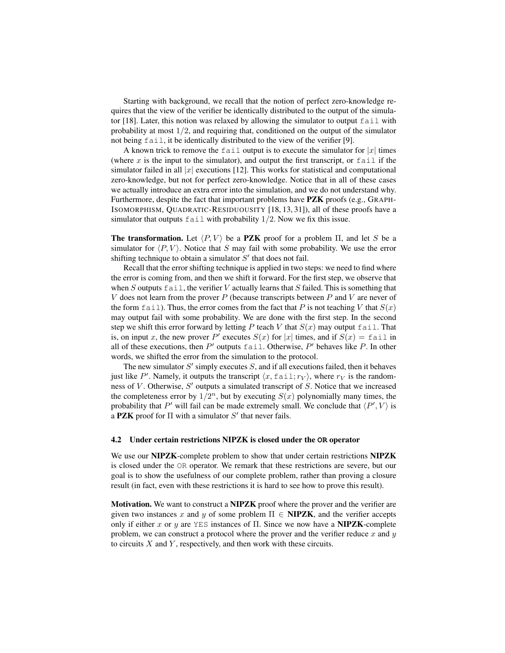Starting with background, we recall that the notion of perfect zero-knowledge requires that the view of the verifier be identically distributed to the output of the simulator  $[18]$ . Later, this notion was relaxed by allowing the simulator to output  $fail$  with probability at most  $1/2$ , and requiring that, conditioned on the output of the simulator not being fail, it be identically distributed to the view of the verifier [9].

A known trick to remove the fail output is to execute the simulator for  $|x|$  times (where  $x$  is the input to the simulator), and output the first transcript, or  $fail$  if the simulator failed in all  $|x|$  executions [12]. This works for statistical and computational zero-knowledge, but not for perfect zero-knowledge. Notice that in all of these cases we actually introduce an extra error into the simulation, and we do not understand why. Furthermore, despite the fact that important problems have PZK proofs (e.g., GRAPH-ISOMORPHISM, QUADRATIC-RESIDUOUSITY [18, 13, 31]), all of these proofs have a simulator that outputs fail with probability  $1/2$ . Now we fix this issue.

The transformation. Let  $\langle P, V \rangle$  be a PZK proof for a problem  $\Pi$ , and let S be a simulator for  $\langle P, V \rangle$ . Notice that S may fail with some probability. We use the error shifting technique to obtain a simulator  $S'$  that does not fail.

Recall that the error shifting technique is applied in two steps: we need to find where the error is coming from, and then we shift it forward. For the first step, we observe that when S outputs fail, the verifier V actually learns that S failed. This is something that V does not learn from the prover  $P$  (because transcripts between  $P$  and  $V$  are never of the form fail). Thus, the error comes from the fact that P is not teaching V that  $S(x)$ may output fail with some probability. We are done with the first step. In the second step we shift this error forward by letting P teach V that  $S(x)$  may output fail. That is, on input x, the new prover P' executes  $S(x)$  for |x| times, and if  $S(x) = \text{fail}$  in all of these executions, then  $P'$  outputs fail. Otherwise,  $P'$  behaves like P. In other words, we shifted the error from the simulation to the protocol.

The new simulator  $S'$  simply executes  $S$ , and if all executions failed, then it behaves just like P'. Namely, it outputs the transcript  $\langle x, \text{fail}; r_V \rangle$ , where  $r_V$  is the randomness of  $V$ . Otherwise,  $S'$  outputs a simulated transcript of  $S$ . Notice that we increased the completeness error by  $1/2^n$ , but by executing  $S(x)$  polynomially many times, the probability that P' will fail can be made extremely small. We conclude that  $\langle P', V \rangle$  is a PZK proof for  $\Pi$  with a simulator  $S'$  that never fails.

#### 4.2 Under certain restrictions NIPZK is closed under the **OR** operator

We use our NIPZK-complete problem to show that under certain restrictions NIPZK is closed under the OR operator. We remark that these restrictions are severe, but our goal is to show the usefulness of our complete problem, rather than proving a closure result (in fact, even with these restrictions it is hard to see how to prove this result).

**Motivation.** We want to construct a **NIPZK** proof where the prover and the verifier are given two instances x and y of some problem  $\Pi \in \text{NIPZK}$ , and the verifier accepts only if either x or y are YES instances of  $\Pi$ . Since we now have a **NIPZK**-complete problem, we can construct a protocol where the prover and the verifier reduce  $x$  and  $y$ to circuits  $X$  and  $Y$ , respectively, and then work with these circuits.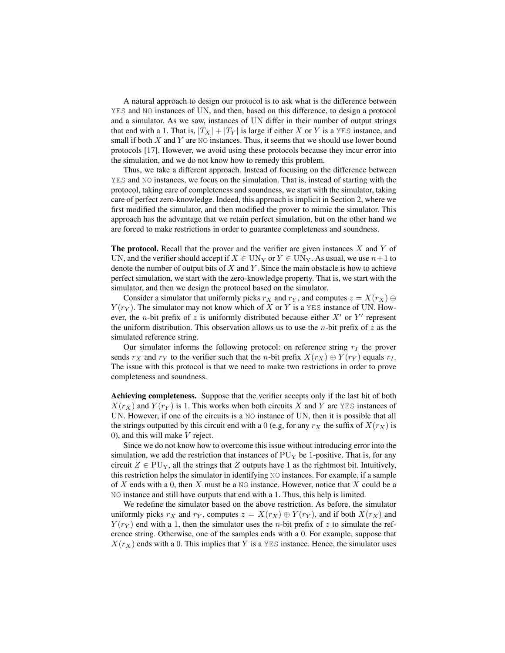A natural approach to design our protocol is to ask what is the difference between YES and NO instances of UN, and then, based on this difference, to design a protocol and a simulator. As we saw, instances of UN differ in their number of output strings that end with a 1. That is,  $|T_X| + |T_Y|$  is large if either X or Y is a YES instance, and small if both  $X$  and  $Y$  are NO instances. Thus, it seems that we should use lower bound protocols [17]. However, we avoid using these protocols because they incur error into the simulation, and we do not know how to remedy this problem.

Thus, we take a different approach. Instead of focusing on the difference between YES and NO instances, we focus on the simulation. That is, instead of starting with the protocol, taking care of completeness and soundness, we start with the simulator, taking care of perfect zero-knowledge. Indeed, this approach is implicit in Section 2, where we first modified the simulator, and then modified the prover to mimic the simulator. This approach has the advantage that we retain perfect simulation, but on the other hand we are forced to make restrictions in order to guarantee completeness and soundness.

The protocol. Recall that the prover and the verifier are given instances  $X$  and  $Y$  of UN, and the verifier should accept if  $X \in UN_Y$  or  $Y \in UN_Y$ . As usual, we use  $n+1$  to denote the number of output bits of  $X$  and  $Y$ . Since the main obstacle is how to achieve perfect simulation, we start with the zero-knowledge property. That is, we start with the simulator, and then we design the protocol based on the simulator.

Consider a simulator that uniformly picks  $r_X$  and  $r_Y$ , and computes  $z = X(r_X) \oplus$  $Y(r_Y)$ . The simulator may not know which of X or Y is a YES instance of UN. However, the *n*-bit prefix of z is uniformly distributed because either  $X'$  or  $Y'$  represent the uniform distribution. This observation allows us to use the *n*-bit prefix of z as the simulated reference string.

Our simulator informs the following protocol: on reference string  $r_I$  the prover sends  $r_X$  and  $r_Y$  to the verifier such that the *n*-bit prefix  $X(r_X) \oplus Y(r_Y)$  equals  $r_I$ . The issue with this protocol is that we need to make two restrictions in order to prove completeness and soundness.

Achieving completeness. Suppose that the verifier accepts only if the last bit of both  $X(r_X)$  and  $Y(r_Y)$  is 1. This works when both circuits X and Y are YES instances of UN. However, if one of the circuits is a NO instance of UN, then it is possible that all the strings outputted by this circuit end with a 0 (e.g, for any  $r<sub>X</sub>$  the suffix of  $X(r<sub>X</sub>)$  is  $(0)$ , and this will make  $V$  reject.

Since we do not know how to overcome this issue without introducing error into the simulation, we add the restriction that instances of  $PU<sub>Y</sub>$  be 1-positive. That is, for any circuit  $Z \in \text{PU}_Y$ , all the strings that Z outputs have 1 as the rightmost bit. Intuitively, this restriction helps the simulator in identifying NO instances. For example, if a sample of X ends with a 0, then X must be a NO instance. However, notice that X could be a NO instance and still have outputs that end with a 1. Thus, this help is limited.

We redefine the simulator based on the above restriction. As before, the simulator uniformly picks  $r_X$  and  $r_Y$ , computes  $z = X(r_X) \oplus Y(r_Y)$ , and if both  $X(r_X)$  and  $Y(r_Y)$  end with a 1, then the simulator uses the *n*-bit prefix of z to simulate the reference string. Otherwise, one of the samples ends with a 0. For example, suppose that  $X(r_X)$  ends with a 0. This implies that Y is a YES instance. Hence, the simulator uses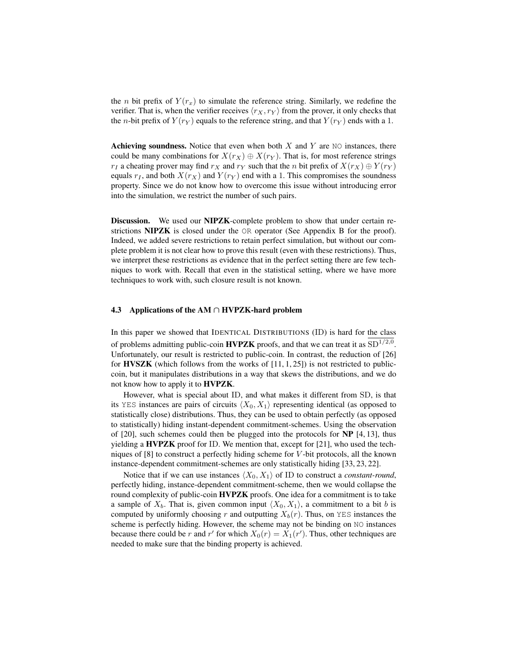the *n* bit prefix of  $Y(r_x)$  to simulate the reference string. Similarly, we redefine the verifier. That is, when the verifier receives  $\langle r_X, r_Y \rangle$  from the prover, it only checks that the *n*-bit prefix of  $Y(r_Y)$  equals to the reference string, and that  $Y(r_Y)$  ends with a 1.

Achieving soundness. Notice that even when both  $X$  and  $Y$  are NO instances, there could be many combinations for  $X(r_X) \oplus X(r_Y)$ . That is, for most reference strings  $r_I$  a cheating prover may find  $r_X$  and  $r_Y$  such that the n bit prefix of  $X(r_X) \oplus Y(r_Y)$ equals  $r_I$ , and both  $X(r_X)$  and  $Y(r_Y)$  end with a 1. This compromises the soundness property. Since we do not know how to overcome this issue without introducing error into the simulation, we restrict the number of such pairs.

Discussion. We used our NIPZK-complete problem to show that under certain restrictions NIPZK is closed under the OR operator (See Appendix B for the proof). Indeed, we added severe restrictions to retain perfect simulation, but without our complete problem it is not clear how to prove this result (even with these restrictions). Thus, we interpret these restrictions as evidence that in the perfect setting there are few techniques to work with. Recall that even in the statistical setting, where we have more techniques to work with, such closure result is not known.

#### 4.3 Applications of the AM  $\cap$  HVPZK-hard problem

In this paper we showed that IDENTICAL DISTRIBUTIONS (ID) is hard for the class of problems admitting public-coin **HVPZK** proofs, and that we can treat it as  $SD^{1/2,0}$ . Unfortunately, our result is restricted to public-coin. In contrast, the reduction of [26] for  $HVSZK$  (which follows from the works of [11, 1, 25]) is not restricted to publiccoin, but it manipulates distributions in a way that skews the distributions, and we do not know how to apply it to HVPZK.

However, what is special about ID, and what makes it different from SD, is that its YES instances are pairs of circuits  $\langle X_0, X_1 \rangle$  representing identical (as opposed to statistically close) distributions. Thus, they can be used to obtain perfectly (as opposed to statistically) hiding instant-dependent commitment-schemes. Using the observation of  $[20]$ , such schemes could then be plugged into the protocols for **NP**  $[4, 13]$ , thus yielding a HVPZK proof for ID. We mention that, except for [21], who used the techniques of  $[8]$  to construct a perfectly hiding scheme for V-bit protocols, all the known instance-dependent commitment-schemes are only statistically hiding [33, 23, 22].

Notice that if we can use instances  $\langle X_0, X_1 \rangle$  of ID to construct a *constant-round*, perfectly hiding, instance-dependent commitment-scheme, then we would collapse the round complexity of public-coin HVPZK proofs. One idea for a commitment is to take a sample of  $X_b$ . That is, given common input  $\langle X_0, X_1 \rangle$ , a commitment to a bit b is computed by uniformly choosing r and outputting  $X_b(r)$ . Thus, on YES instances the scheme is perfectly hiding. However, the scheme may not be binding on NO instances because there could be r and r' for which  $X_0(r) = X_1(r')$ . Thus, other techniques are needed to make sure that the binding property is achieved.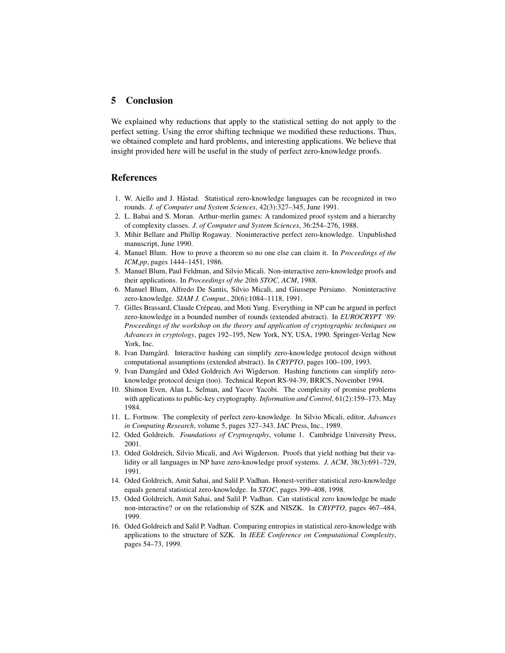# 5 Conclusion

We explained why reductions that apply to the statistical setting do not apply to the perfect setting. Using the error shifting technique we modified these reductions. Thus, we obtained complete and hard problems, and interesting applications. We believe that insight provided here will be useful in the study of perfect zero-knowledge proofs.

# References

- 1. W. Aiello and J. Håstad. Statistical zero-knowledge languages can be recognized in two rounds. *J. of Computer and System Sciences*, 42(3):327–345, June 1991.
- 2. L. Babai and S. Moran. Arthur-merlin games: A randomized proof system and a hierarchy of complexity classes. *J. of Computer and System Sciences*, 36:254–276, 1988.
- 3. Mihir Bellare and Phillip Rogaway. Noninteractive perfect zero-knowledge. Unpublished manuscript, June 1990.
- 4. Manuel Blum. How to prove a theorem so no one else can claim it. In *Proceedings of the ICM,pp*, pages 1444–1451, 1986.
- 5. Manuel Blum, Paul Feldman, and Silvio Micali. Non-interactive zero-knowledge proofs and their applications. In *Proceedings of the 20th STOC, ACM*, 1988.
- 6. Manuel Blum, Alfredo De Santis, Silvio Micali, and Giussepe Persiano. Noninteractive zero-knowledge. *SIAM J. Comput.*, 20(6):1084–1118, 1991.
- 7. Gilles Brassard, Claude Crepeau, and Moti Yung. Everything in NP can be argued in perfect ´ zero-knowledge in a bounded number of rounds (extended abstract). In *EUROCRYPT '89: Proceedings of the workshop on the theory and application of cryptographic techniques on Advances in cryptology*, pages 192–195, New York, NY, USA, 1990. Springer-Verlag New York, Inc.
- 8. Ivan Damgård. Interactive hashing can simplify zero-knowledge protocol design without computational assumptions (extended abstract). In *CRYPTO*, pages 100–109, 1993.
- 9. Ivan Damgård and Oded Goldreich Avi Wigderson. Hashing functions can simplify zeroknowledge protocol design (too). Technical Report RS-94-39, BRICS, November 1994.
- 10. Shimon Even, Alan L. Selman, and Yacov Yacobi. The complexity of promise problems with applications to public-key cryptography. *Information and Control*, 61(2):159–173, May 1984.
- 11. L. Fortnow. The complexity of perfect zero-knowledge. In Silvio Micali, editor, *Advances in Computing Research*, volume 5, pages 327–343. JAC Press, Inc., 1989.
- 12. Oded Goldreich. *Foundations of Cryptography*, volume 1. Cambridge University Press, 2001.
- 13. Oded Goldreich, Silvio Micali, and Avi Wigderson. Proofs that yield nothing but their validity or all languages in NP have zero-knowledge proof systems. *J. ACM*, 38(3):691–729, 1991.
- 14. Oded Goldreich, Amit Sahai, and Salil P. Vadhan. Honest-verifier statistical zero-knowledge equals general statistical zero-knowledge. In *STOC*, pages 399–408, 1998.
- 15. Oded Goldreich, Amit Sahai, and Salil P. Vadhan. Can statistical zero knowledge be made non-interactive? or on the relationship of SZK and NISZK. In *CRYPTO*, pages 467–484, 1999.
- 16. Oded Goldreich and Salil P. Vadhan. Comparing entropies in statistical zero-knowledge with applications to the structure of SZK. In *IEEE Conference on Computational Complexity*, pages 54–73, 1999.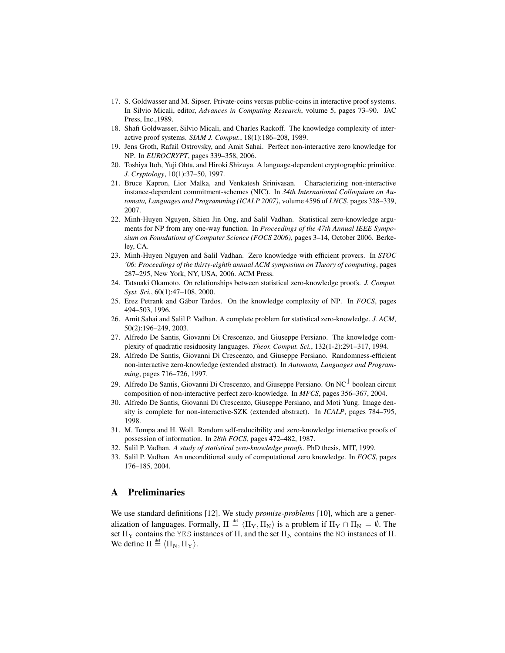- 17. S. Goldwasser and M. Sipser. Private-coins versus public-coins in interactive proof systems. In Silvio Micali, editor, *Advances in Computing Research*, volume 5, pages 73–90. JAC Press, Inc.,1989.
- 18. Shafi Goldwasser, Silvio Micali, and Charles Rackoff. The knowledge complexity of interactive proof systems. *SIAM J. Comput.*, 18(1):186–208, 1989.
- 19. Jens Groth, Rafail Ostrovsky, and Amit Sahai. Perfect non-interactive zero knowledge for NP. In *EUROCRYPT*, pages 339–358, 2006.
- 20. Toshiya Itoh, Yuji Ohta, and Hiroki Shizuya. A language-dependent cryptographic primitive. *J. Cryptology*, 10(1):37–50, 1997.
- 21. Bruce Kapron, Lior Malka, and Venkatesh Srinivasan. Characterizing non-interactive instance-dependent commitment-schemes (NIC). In *34th International Colloquium on Automata, Languages and Programming (ICALP 2007)*, volume 4596 of *LNCS*, pages 328–339, 2007.
- 22. Minh-Huyen Nguyen, Shien Jin Ong, and Salil Vadhan. Statistical zero-knowledge arguments for NP from any one-way function. In *Proceedings of the 47th Annual IEEE Symposium on Foundations of Computer Science (FOCS 2006)*, pages 3–14, October 2006. Berkeley, CA.
- 23. Minh-Huyen Nguyen and Salil Vadhan. Zero knowledge with efficient provers. In *STOC '06: Proceedings of the thirty-eighth annual ACM symposium on Theory of computing*, pages 287–295, New York, NY, USA, 2006. ACM Press.
- 24. Tatsuaki Okamoto. On relationships between statistical zero-knowledge proofs. *J. Comput. Syst. Sci.*, 60(1):47–108, 2000.
- 25. Erez Petrank and Gábor Tardos. On the knowledge complexity of NP. In *FOCS*, pages 494–503, 1996.
- 26. Amit Sahai and Salil P. Vadhan. A complete problem for statistical zero-knowledge. *J. ACM*, 50(2):196–249, 2003.
- 27. Alfredo De Santis, Giovanni Di Crescenzo, and Giuseppe Persiano. The knowledge complexity of quadratic residuosity languages. *Theor. Comput. Sci.*, 132(1-2):291–317, 1994.
- 28. Alfredo De Santis, Giovanni Di Crescenzo, and Giuseppe Persiano. Randomness-efficient non-interactive zero-knowledge (extended abstract). In *Automata, Languages and Programming*, pages 716–726, 1997.
- 29. Alfredo De Santis, Giovanni Di Crescenzo, and Giuseppe Persiano. On NC<sup>1</sup> boolean circuit composition of non-interactive perfect zero-knowledge. In *MFCS*, pages 356–367, 2004.
- 30. Alfredo De Santis, Giovanni Di Crescenzo, Giuseppe Persiano, and Moti Yung. Image density is complete for non-interactive-SZK (extended abstract). In *ICALP*, pages 784–795, 1998.
- 31. M. Tompa and H. Woll. Random self-reducibility and zero-knowledge interactive proofs of possession of information. In *28th FOCS*, pages 472–482, 1987.
- 32. Salil P. Vadhan. *A study of statistical zero-knowledge proofs*. PhD thesis, MIT, 1999.
- 33. Salil P. Vadhan. An unconditional study of computational zero knowledge. In *FOCS*, pages 176–185, 2004.

# A Preliminaries

We use standard definitions [12]. We study *promise-problems* [10], which are a generalization of languages. Formally,  $\Pi \stackrel{\text{def}}{=} \langle \Pi_Y, \Pi_N \rangle$  is a problem if  $\Pi_Y \cap \Pi_N = \emptyset$ . The set  $\Pi_Y$  contains the YES instances of  $\Pi$ , and the set  $\Pi_N$  contains the NO instances of  $\Pi$ . We define  $\overline{\Pi} \stackrel{\text{def}}{=} \langle \Pi_N, \Pi_Y \rangle$ .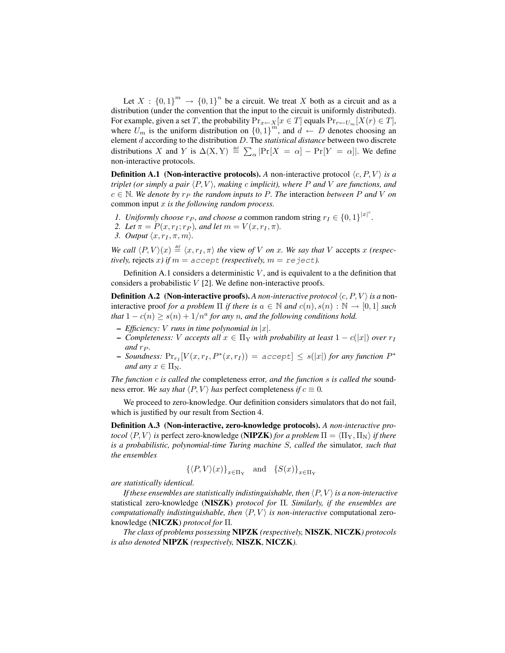Let  $X : \{0,1\}^m \to \{0,1\}^n$  be a circuit. We treat X both as a circuit and as a distribution (under the convention that the input to the circuit is uniformly distributed). For example, given a set T, the probability  $Pr_{x \leftarrow X}[x \in T]$  equals  $Pr_{r \leftarrow U_m}[X(r) \in T]$ , where  $U_m$  is the uniform distribution on  $\{0, 1\}^m$ , and  $d \leftarrow D$  denotes choosing an element d according to the distribution D. The *statistical distance* between two discrete distributions X and Y is  $\Delta(X, Y) \stackrel{\text{def}}{=} \sum$  $\alpha$  |Pr[X =  $\alpha$ ] – Pr[Y =  $\alpha$ ]|. We define non-interactive protocols.

**Definition A.1** (Non-interactive protocols). A non-interactive protocol  $\langle c, P, V \rangle$  is a *triplet (or simply a pair*  $\langle P, V \rangle$ *, making c implicit), where* P *and* V *are functions, and*  $c \in \mathbb{N}$ . We denote by  $r_P$  the random inputs to P. The interaction between P and V on common input x *is the following random process.*

- *1. Uniformly choose*  $r_P$ *, and choose a* common random string  $r_I \in \{0,1\}^{|x|^c}$ *.*
- *2. Let*  $\pi = P(x, r_1; r_P)$ *, and let*  $m = V(x, r_I, \pi)$ *.*
- *3. Output*  $\langle x, r_I, \pi, m \rangle$ *.*

*We call*  $\langle P, V \rangle(x) \stackrel{\text{def}}{=} \langle x, r_I, \pi \rangle$  *the* view *of V on* x*. We say that V* accepts x *(respectively, rejects x) if*  $m = accept$  *(respectively, m = reject).* 

Definition A.1 considers a deterministic  $V$ , and is equivalent to a the definition that considers a probabilistic  $V$  [2]. We define non-interactive proofs.

**Definition A.2** (Non-interactive proofs). A non-interactive protocol  $\langle c, P, V \rangle$  is a noninteractive proof *for a problem*  $\Pi$  *if there is*  $a \in \mathbb{N}$  *and*  $c(n)$ ,  $s(n) : \mathbb{N} \to [0, 1]$  *such that*  $1 - c(n) \geq s(n) + \frac{1}{n^a}$  *for any n, and the following conditions hold.* 

- $-$  *Efficiency: V* runs in time polynomial in |x|.
- $\blacksquare$  *Completeness: V accepts all*  $x \in \Pi_Y$  *with probability at least* 1 − *c*(|*x*|) *over*  $r_I$ *and*  $r_P$ *.*
- $-$  *Soundness:*  $Pr_{r_I}[V(x, r_I, P^*(x, r_I)) = accept] \leq s(|x|)$  *for any function*  $P^*$ *and any*  $x \in \Pi_N$ .

*The function* c *is called the* completeness error*, and the function* s *is called the* soundness error. We say that  $\langle P, V \rangle$  has perfect completeness *if*  $c \equiv 0$ *.* 

We proceed to zero-knowledge. Our definition considers simulators that do not fail, which is justified by our result from Section 4.

Definition A.3 (Non-interactive, zero-knowledge protocols). *A non-interactive protocol*  $\langle P, V \rangle$  *is* perfect zero-knowledge (**NIPZK**) *for a problem*  $\Pi = \langle \Pi_Y, \Pi_N \rangle$  *if there is a probabilistic, polynomial-time Turing machine* S*, called the* simulator*, such that the ensembles*

$$
\{ \langle P, V \rangle (x) \}_{x \in \Pi_Y} \quad \text{and} \quad \{ S(x) \}_{x \in \Pi_Y}
$$

*are statistically identical.*

*If these ensembles are statistically indistinguishable, then*  $\langle P, V \rangle$  *is a non-interactive* statistical zero-knowledge (NISZK) *protocol for* Π*. Similarly, if the ensembles are computationally indistinguishable, then*  $\langle P, V \rangle$  *is non-interactive* computational zeroknowledge (NICZK) *protocol for* Π*.*

*The class of problems possessing* NIPZK *(respectively,* NISZK, NICZK*) protocols is also denoted* NIPZK *(respectively,* NISZK, NICZK*).*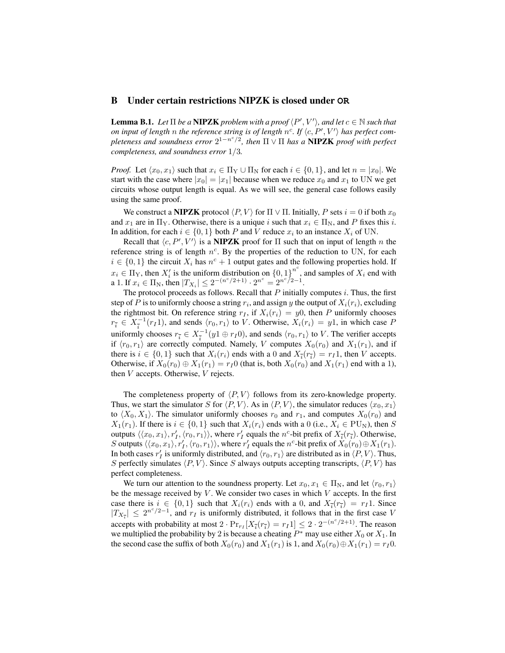## B Under certain restrictions NIPZK is closed under **OR**

**Lemma B.1.** Let  $\Pi$  be a **NIPZK** problem with a proof  $\langle P', V' \rangle$ , and let  $c \in \mathbb{N}$  such that *on input of length* n the reference string is of length  $n^c$ . If  $\langle c, P', V' \rangle$  has perfect com*pleteness and soundness error*  $2^{1-n^c/2}$ , then Π  $\vee$  Π *has a* **NIPZK** *proof with perfect completeness, and soundness error* 1/3*.*

*Proof.* Let  $\langle x_0, x_1 \rangle$  such that  $x_i \in \Pi_Y \cup \Pi_N$  for each  $i \in \{0, 1\}$ , and let  $n = |x_0|$ . We start with the case where  $|x_0| = |x_1|$  because when we reduce  $x_0$  and  $x_1$  to UN we get circuits whose output length is equal. As we will see, the general case follows easily using the same proof.

We construct a **NIPZK** protocol  $\langle P, V \rangle$  for  $\Pi \vee \Pi$ . Initially, P sets  $i = 0$  if both  $x_0$ and  $x_1$  are in  $\Pi_Y$ . Otherwise, there is a unique i such that  $x_i \in \Pi_N$ , and P fixes this i. In addition, for each  $i \in \{0, 1\}$  both P and V reduce  $x_i$  to an instance  $X_i$  of UN.

Recall that  $\langle c, P', V' \rangle$  is a **NIPZK** proof for  $\Pi$  such that on input of length n the reference string is of length  $n<sup>c</sup>$ . By the properties of the reduction to UN, for each  $i \in \{0,1\}$  the circuit  $X_i$  has  $n^c + 1$  output gates and the following properties hold. If  $x_i \in \Pi_Y$ , then  $X'_i$  is the uniform distribution on  $\{0, 1\}^{n^c}$ , and samples of  $X_i$  end with a 1. If  $x_i \in \Pi_N$ , then  $|T_{X_i}| \leq 2^{-(n^c/2+1)} \cdot 2^{n^c} = 2^{n^c/2-1}$ .

The protocol proceeds as follows. Recall that  $P$  initially computes i. Thus, the first step of P is to uniformly choose a string  $r_i$ , and assign y the output of  $X_i(r_i)$ , excluding the rightmost bit. On reference string  $r_I$ , if  $X_i(r_i) = y0$ , then P uniformly chooses  $r_{\bar{i}} \in X_{\bar{i}}^{-1}$  $\frac{1}{i}$   $\binom{n}{i}$ , and sends  $\langle r_0, r_1 \rangle$  to V. Otherwise,  $X_i(r_i) = y_1$ , in which case P uniformly chooses  $r_{\overline{i}} \in X_{\overline{i}}^{-1}$  $\frac{1}{i}(y_1 \oplus r_1)$ , and sends  $\langle r_0, r_1 \rangle$  to V. The verifier accepts if  $\langle r_0, r_1 \rangle$  are correctly computed. Namely, V computes  $X_0(r_0)$  and  $X_1(r_1)$ , and if there is  $i \in \{0,1\}$  such that  $X_i(r_i)$  ends with a 0 and  $X_{\overline{i}}(r_{\overline{i}}) = r_I 1$ , then V accepts. Otherwise, if  $X_0(r_0) \oplus X_1(r_1) = r_I 0$  (that is, both  $X_0(r_0)$  and  $X_1(r_1)$  end with a 1), then  $V$  accepts. Otherwise,  $V$  rejects.

The completeness property of  $\langle P, V \rangle$  follows from its zero-knowledge property. Thus, we start the simulator S for  $\langle P, V \rangle$ . As in  $\langle P, V \rangle$ , the simulator reduces  $\langle x_0, x_1 \rangle$ to  $\langle X_0, X_1 \rangle$ . The simulator uniformly chooses  $r_0$  and  $r_1$ , and computes  $X_0(r_0)$  and  $X_1(r_1)$ . If there is  $i \in \{0,1\}$  such that  $X_i(r_i)$  ends with a 0 (i.e.,  $X_i \in \text{PU}_N$ ), then S outputs  $\langle\langle x_0, x_1\rangle, r'_I, \langle r_0, r_1\rangle\rangle$ , where  $r'_I$  equals the n<sup>c</sup>-bit prefix of  $X_{\overline{i}}(r_{\overline{i}})$ . Otherwise, S outputs  $\langle\langle x_0, x_1\rangle, r'_I, \langle r_0, r_1\rangle\rangle$ , where  $r'_I$  equals the n<sup>c</sup>-bit prefix of  $X_0(r_0) \oplus X_1(r_1)$ . In both cases  $r'_I$  is uniformly distributed, and  $\langle r_0, r_1 \rangle$  are distributed as in  $\langle P, V \rangle$ . Thus, S perfectly simulates  $\langle P, V \rangle$ . Since S always outputs accepting transcripts,  $\langle P, V \rangle$  has perfect completeness.

We turn our attention to the soundness property. Let  $x_0, x_1 \in \Pi_N$ , and let  $\langle r_0, r_1 \rangle$ be the message received by  $V$ . We consider two cases in which  $V$  accepts. In the first case there is  $i \in \{0, 1\}$  such that  $X_i(r_i)$  ends with a 0, and  $X_{\overline{i}}(r_{\overline{i}}) = r_I 1$ . Since  $|T_{X_{\overline{i}}}| \leq 2^{n^c/2-1}$ , and  $r_I$  is uniformly distributed, it follows that in the first case V accepts with probability at most  $2 \cdot \Pr_{r_I}[X_{\overline{i}}(r_{\overline{i}}) = r_I 1] \leq 2 \cdot 2^{-(n^c/2+1)}$ . The reason we multiplied the probability by 2 is because a cheating  $P^*$  may use either  $X_0$  or  $X_1$ . In the second case the suffix of both  $X_0(r_0)$  and  $X_1(r_1)$  is 1, and  $X_0(r_0) \oplus X_1(r_1) = r_I 0$ .